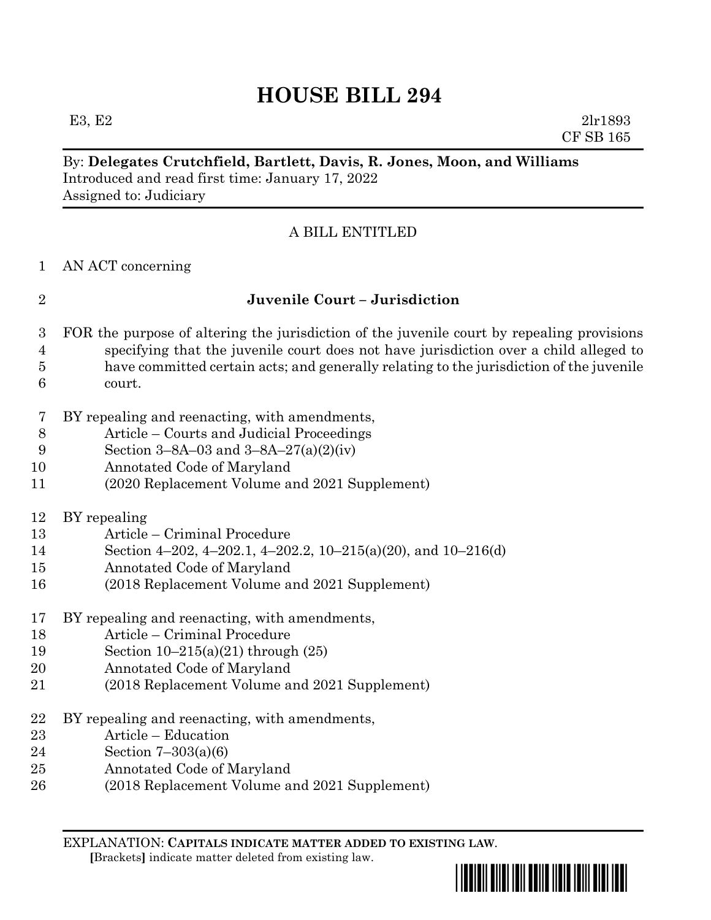E3, E2  $2\ln 1893$ CF SB 165

### By: **Delegates Crutchfield, Bartlett, Davis, R. Jones, Moon, and Williams** Introduced and read first time: January 17, 2022 Assigned to: Judiciary

## A BILL ENTITLED

AN ACT concerning

## **Juvenile Court – Jurisdiction**

- FOR the purpose of altering the jurisdiction of the juvenile court by repealing provisions specifying that the juvenile court does not have jurisdiction over a child alleged to have committed certain acts; and generally relating to the jurisdiction of the juvenile court.
- BY repealing and reenacting, with amendments,
- Article Courts and Judicial Proceedings
- Section 3–8A–03 and 3–8A–27(a)(2)(iv)
- Annotated Code of Maryland
- (2020 Replacement Volume and 2021 Supplement)
- BY repealing
- Article Criminal Procedure
- Section 4–202, 4–202.1, 4–202.2, 10–215(a)(20), and 10–216(d)
- Annotated Code of Maryland
- (2018 Replacement Volume and 2021 Supplement)
- BY repealing and reenacting, with amendments,
- Article Criminal Procedure
- Section 10–215(a)(21) through (25)
- Annotated Code of Maryland
- (2018 Replacement Volume and 2021 Supplement)
- BY repealing and reenacting, with amendments,
- Article Education
- Section 7–303(a)(6)
- Annotated Code of Maryland
- (2018 Replacement Volume and 2021 Supplement)

EXPLANATION: **CAPITALS INDICATE MATTER ADDED TO EXISTING LAW**.  **[**Brackets**]** indicate matter deleted from existing law.

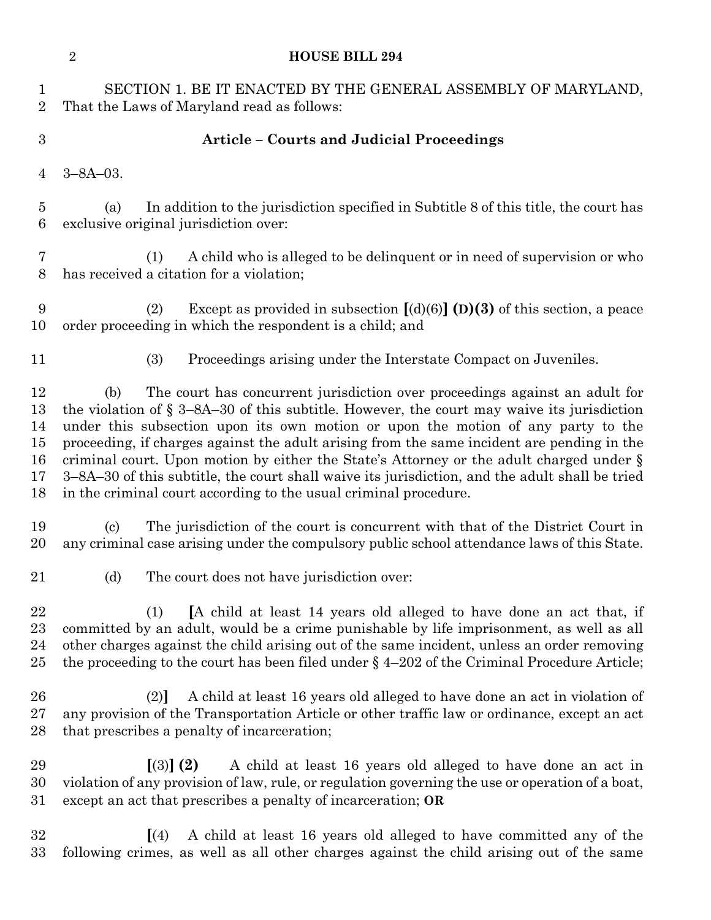|                                        | $\sqrt{2}$<br><b>HOUSE BILL 294</b>                                                                                                                                                                                                                                                                                                                                                                                                                                                                                                                                                                                                    |  |  |  |  |
|----------------------------------------|----------------------------------------------------------------------------------------------------------------------------------------------------------------------------------------------------------------------------------------------------------------------------------------------------------------------------------------------------------------------------------------------------------------------------------------------------------------------------------------------------------------------------------------------------------------------------------------------------------------------------------------|--|--|--|--|
| $\mathbf{1}$<br>$\overline{2}$         | SECTION 1. BE IT ENACTED BY THE GENERAL ASSEMBLY OF MARYLAND,<br>That the Laws of Maryland read as follows:                                                                                                                                                                                                                                                                                                                                                                                                                                                                                                                            |  |  |  |  |
| $\boldsymbol{3}$                       | <b>Article - Courts and Judicial Proceedings</b>                                                                                                                                                                                                                                                                                                                                                                                                                                                                                                                                                                                       |  |  |  |  |
| $\overline{4}$                         | $3 - 8A - 03$ .                                                                                                                                                                                                                                                                                                                                                                                                                                                                                                                                                                                                                        |  |  |  |  |
| $\overline{5}$<br>6                    | In addition to the jurisdiction specified in Subtitle 8 of this title, the court has<br>(a)<br>exclusive original jurisdiction over:                                                                                                                                                                                                                                                                                                                                                                                                                                                                                                   |  |  |  |  |
| 7<br>8                                 | A child who is alleged to be delinquent or in need of supervision or who<br>(1)<br>has received a citation for a violation;                                                                                                                                                                                                                                                                                                                                                                                                                                                                                                            |  |  |  |  |
| 9<br>10                                | Except as provided in subsection $[(d)(6)]$ (D)(3) of this section, a peace<br>(2)<br>order proceeding in which the respondent is a child; and                                                                                                                                                                                                                                                                                                                                                                                                                                                                                         |  |  |  |  |
| 11                                     | (3)<br>Proceedings arising under the Interstate Compact on Juveniles.                                                                                                                                                                                                                                                                                                                                                                                                                                                                                                                                                                  |  |  |  |  |
| 12<br>13<br>14<br>15<br>16<br>17<br>18 | The court has concurrent jurisdiction over proceedings against an adult for<br>(b)<br>the violation of $\S$ 3–8A–30 of this subtitle. However, the court may waive its jurisdiction<br>under this subsection upon its own motion or upon the motion of any party to the<br>proceeding, if charges against the adult arising from the same incident are pending in the<br>criminal court. Upon motion by either the State's Attorney or the adult charged under §<br>3–8A–30 of this subtitle, the court shall waive its jurisdiction, and the adult shall be tried<br>in the criminal court according to the usual criminal procedure. |  |  |  |  |
| 19<br>20                               | The jurisdiction of the court is concurrent with that of the District Court in<br>$\left( \mathrm{e}\right)$<br>any criminal case arising under the compulsory public school attendance laws of this State.                                                                                                                                                                                                                                                                                                                                                                                                                            |  |  |  |  |
| 21                                     | The court does not have jurisdiction over:<br>(d)                                                                                                                                                                                                                                                                                                                                                                                                                                                                                                                                                                                      |  |  |  |  |
| 22<br>23<br>24<br>25                   | [A child at least 14 years old alleged to have done an act that, if<br>(1)<br>committed by an adult, would be a crime punishable by life imprisonment, as well as all<br>other charges against the child arising out of the same incident, unless an order removing<br>the proceeding to the court has been filed under $\S$ 4-202 of the Criminal Procedure Article;                                                                                                                                                                                                                                                                  |  |  |  |  |
| 26<br>27<br>28                         | A child at least 16 years old alleged to have done an act in violation of<br>(2)<br>any provision of the Transportation Article or other traffic law or ordinance, except an act<br>that prescribes a penalty of incarceration;                                                                                                                                                                                                                                                                                                                                                                                                        |  |  |  |  |
| 29<br>30<br>31                         | A child at least 16 years old alleged to have done an act in<br>$(3)$ (2)<br>violation of any provision of law, rule, or regulation governing the use or operation of a boat,<br>except an act that prescribes a penalty of incarceration; OR                                                                                                                                                                                                                                                                                                                                                                                          |  |  |  |  |
| 32<br>33                               | A child at least 16 years old alleged to have committed any of the<br>$\vert$ (4)<br>following crimes, as well as all other charges against the child arising out of the same                                                                                                                                                                                                                                                                                                                                                                                                                                                          |  |  |  |  |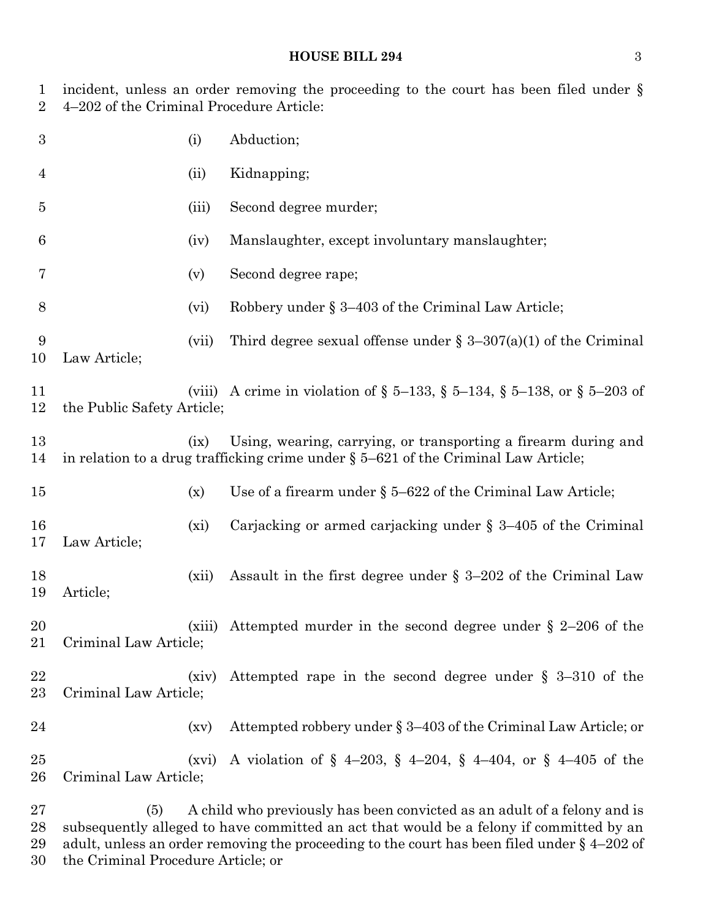| 1<br>$\overline{2}$ | incident, unless an order removing the proceeding to the court has been filed under $\S$<br>4–202 of the Criminal Procedure Article: |         |                                                                                                                                                                     |  |
|---------------------|--------------------------------------------------------------------------------------------------------------------------------------|---------|---------------------------------------------------------------------------------------------------------------------------------------------------------------------|--|
| $\boldsymbol{3}$    |                                                                                                                                      | (i)     | Abduction;                                                                                                                                                          |  |
| 4                   |                                                                                                                                      | (ii)    | Kidnapping;                                                                                                                                                         |  |
| $\overline{5}$      |                                                                                                                                      | (iii)   | Second degree murder;                                                                                                                                               |  |
| 6                   |                                                                                                                                      | (iv)    | Manslaughter, except involuntary manslaughter;                                                                                                                      |  |
| 7                   |                                                                                                                                      | (v)     | Second degree rape;                                                                                                                                                 |  |
| 8                   |                                                                                                                                      | (vi)    | Robbery under $\S 3-403$ of the Criminal Law Article;                                                                                                               |  |
| 9<br>10             | Law Article;                                                                                                                         | (vii)   | Third degree sexual offense under $\S 3-307(a)(1)$ of the Criminal                                                                                                  |  |
| 11<br>12            | the Public Safety Article;                                                                                                           | (viii)  | A crime in violation of § 5–133, § 5–134, § 5–138, or § 5–203 of                                                                                                    |  |
| 13<br>14            |                                                                                                                                      | (ix)    | Using, wearing, carrying, or transporting a firearm during and<br>in relation to a drug trafficking crime under § 5-621 of the Criminal Law Article;                |  |
| 15                  |                                                                                                                                      | (x)     | Use of a firearm under $\S 5-622$ of the Criminal Law Article;                                                                                                      |  |
| 16<br>17            | Law Article;                                                                                                                         | $(x_i)$ | Carjacking or armed carjacking under $\S$ 3-405 of the Criminal                                                                                                     |  |
| 18<br>19            | Article;                                                                                                                             | (xii)   | Assault in the first degree under $\S$ 3–202 of the Criminal Law                                                                                                    |  |
| 20<br>21            | Criminal Law Article;                                                                                                                | (xiii)  | Attempted murder in the second degree under $\S$ 2-206 of the                                                                                                       |  |
| 22<br>23            | Criminal Law Article;                                                                                                                | (xiv)   | Attempted rape in the second degree under $\S$ 3-310 of the                                                                                                         |  |
| 24                  |                                                                                                                                      | (xv)    | Attempted robbery under § 3-403 of the Criminal Law Article; or                                                                                                     |  |
| 25<br>26            | Criminal Law Article;                                                                                                                | (xvi)   | A violation of § 4-203, § 4-204, § 4-404, or § 4-405 of the                                                                                                         |  |
| 27<br>28            | (5)                                                                                                                                  |         | A child who previously has been convicted as an adult of a felony and is<br>subsequently alleged to have committed an act that would be a felony if committed by an |  |

 adult, unless an order removing the proceeding to the court has been filed under § 4–202 of the Criminal Procedure Article; or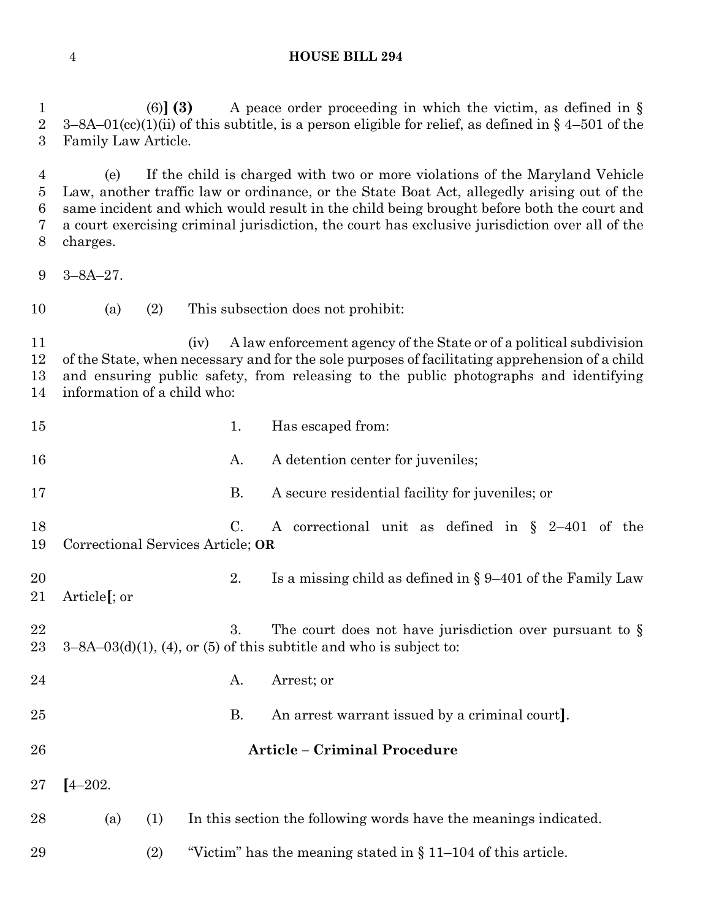(6)**] (3)** A peace order proceeding in which the victim, as defined in § 2 3–8A–01(cc)(1)(ii) of this subtitle, is a person eligible for relief, as defined in  $\S$  4–501 of the Family Law Article.

 (e) If the child is charged with two or more violations of the Maryland Vehicle Law, another traffic law or ordinance, or the State Boat Act, allegedly arising out of the same incident and which would result in the child being brought before both the court and a court exercising criminal jurisdiction, the court has exclusive jurisdiction over all of the charges.

- 3–8A–27.
- (a) (2) This subsection does not prohibit:

 (iv) A law enforcement agency of the State or of a political subdivision of the State, when necessary and for the sole purposes of facilitating apprehension of a child and ensuring public safety, from releasing to the public photographs and identifying information of a child who:

| 15       |                                                                                                                                           | 1. | Has escaped from:                                                |  |  |
|----------|-------------------------------------------------------------------------------------------------------------------------------------------|----|------------------------------------------------------------------|--|--|
| 16       |                                                                                                                                           | A. | A detention center for juveniles;                                |  |  |
| 17       |                                                                                                                                           | Β. | A secure residential facility for juveniles; or                  |  |  |
| 18<br>19 | $C_{\cdot}$<br>A correctional unit as defined in $\S$ 2-401 of the<br>Correctional Services Article; OR                                   |    |                                                                  |  |  |
| 20<br>21 | Article <sup>[</sup> ; or                                                                                                                 | 2. | Is a missing child as defined in $\S 9-401$ of the Family Law    |  |  |
| 22<br>23 | 3.<br>The court does not have jurisdiction over pursuant to $\S$<br>$3-8A-03(d)(1)$ , (4), or (5) of this subtitle and who is subject to: |    |                                                                  |  |  |
| 24       |                                                                                                                                           | A. | Arrest; or                                                       |  |  |
| 25       |                                                                                                                                           | Β. | An arrest warrant issued by a criminal court].                   |  |  |
| 26       |                                                                                                                                           |    | <b>Article - Criminal Procedure</b>                              |  |  |
| 27       | $[4 - 202]$                                                                                                                               |    |                                                                  |  |  |
| 28       | (1)<br>(a)                                                                                                                                |    | In this section the following words have the meanings indicated. |  |  |
| 29       | (2)                                                                                                                                       |    | "Victim" has the meaning stated in $\S 11-104$ of this article.  |  |  |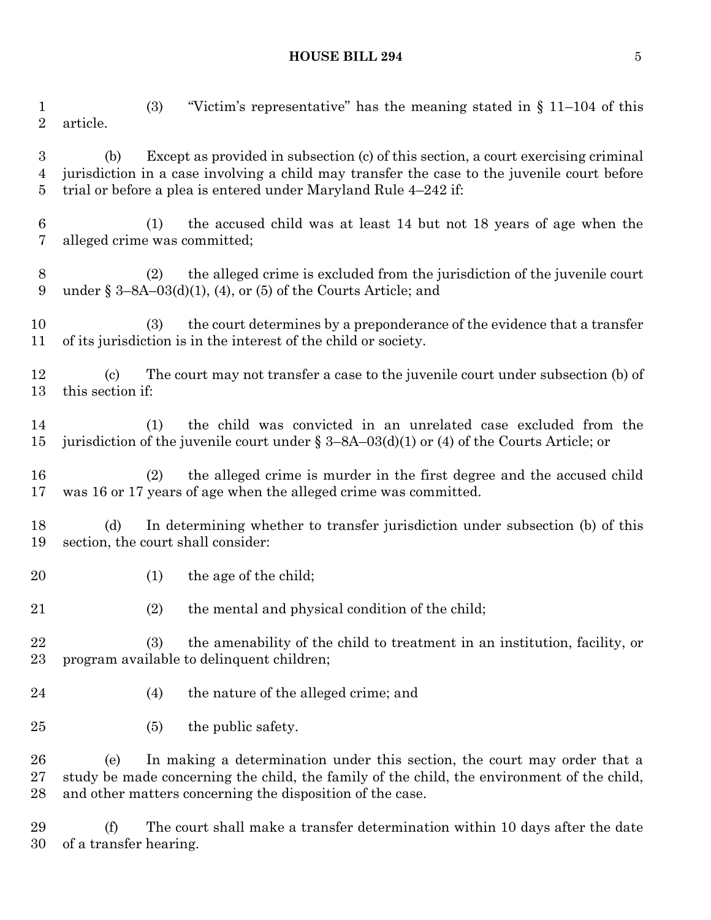(3) "Victim's representative" has the meaning stated in § 11–104 of this article. (b) Except as provided in subsection (c) of this section, a court exercising criminal jurisdiction in a case involving a child may transfer the case to the juvenile court before trial or before a plea is entered under Maryland Rule 4–242 if: (1) the accused child was at least 14 but not 18 years of age when the alleged crime was committed; (2) the alleged crime is excluded from the jurisdiction of the juvenile court 9 under  $\S 3-8A-03(d)(1)$ , (4), or (5) of the Courts Article; and (3) the court determines by a preponderance of the evidence that a transfer of its jurisdiction is in the interest of the child or society. (c) The court may not transfer a case to the juvenile court under subsection (b) of this section if: (1) the child was convicted in an unrelated case excluded from the jurisdiction of the juvenile court under § 3–8A–03(d)(1) or (4) of the Courts Article; or (2) the alleged crime is murder in the first degree and the accused child was 16 or 17 years of age when the alleged crime was committed. (d) In determining whether to transfer jurisdiction under subsection (b) of this section, the court shall consider: 20 (1) the age of the child; (2) the mental and physical condition of the child; (3) the amenability of the child to treatment in an institution, facility, or program available to delinquent children; (4) the nature of the alleged crime; and 25 (5) the public safety. (e) In making a determination under this section, the court may order that a study be made concerning the child, the family of the child, the environment of the child, and other matters concerning the disposition of the case. (f) The court shall make a transfer determination within 10 days after the date

of a transfer hearing.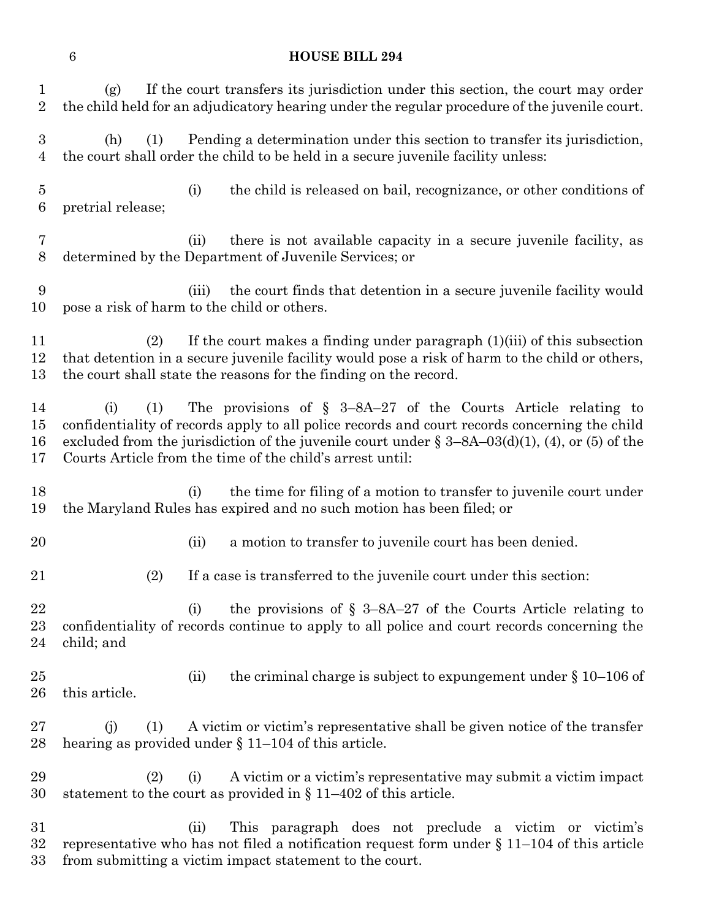| 1<br>$\sqrt{2}$       | If the court transfers its jurisdiction under this section, the court may order<br>(g)<br>the child held for an adjudicatory hearing under the regular procedure of the juvenile court.                                                                                                                                                            |
|-----------------------|----------------------------------------------------------------------------------------------------------------------------------------------------------------------------------------------------------------------------------------------------------------------------------------------------------------------------------------------------|
| $\boldsymbol{3}$<br>4 | Pending a determination under this section to transfer its jurisdiction,<br>(h)<br>(1)<br>the court shall order the child to be held in a secure juvenile facility unless:                                                                                                                                                                         |
| $\overline{5}$<br>6   | (i)<br>the child is released on bail, recognizance, or other conditions of<br>pretrial release;                                                                                                                                                                                                                                                    |
| 7<br>8                | there is not available capacity in a secure juvenile facility, as<br>(ii)<br>determined by the Department of Juvenile Services; or                                                                                                                                                                                                                 |
| 9<br>10               | the court finds that detention in a secure juvenile facility would<br>(iii)<br>pose a risk of harm to the child or others.                                                                                                                                                                                                                         |
| 11<br>12<br>13        | If the court makes a finding under paragraph $(1)(iii)$ of this subsection<br>(2)<br>that detention in a secure juvenile facility would pose a risk of harm to the child or others,<br>the court shall state the reasons for the finding on the record.                                                                                            |
| 14<br>15<br>16<br>17  | The provisions of $\S$ 3-8A-27 of the Courts Article relating to<br>(1)<br>(i)<br>confidentiality of records apply to all police records and court records concerning the child<br>excluded from the jurisdiction of the juvenile court under $\S 3-8A-03(d)(1)$ , (4), or (5) of the<br>Courts Article from the time of the child's arrest until: |
| 18<br>19              | the time for filing of a motion to transfer to juvenile court under<br>(i)<br>the Maryland Rules has expired and no such motion has been filed; or                                                                                                                                                                                                 |
| 20                    | (ii)<br>a motion to transfer to juvenile court has been denied.                                                                                                                                                                                                                                                                                    |
| 21                    | If a case is transferred to the juvenile court under this section:<br>(2)                                                                                                                                                                                                                                                                          |
| 22<br>23<br>24        | the provisions of $\S$ 3–8A–27 of the Courts Article relating to<br>(i)<br>confidentiality of records continue to apply to all police and court records concerning the<br>child; and                                                                                                                                                               |
| 25<br>26              | the criminal charge is subject to expundement under $\S 10$ –106 of<br>(ii)<br>this article.                                                                                                                                                                                                                                                       |
| 27<br>28              | A victim or victim's representative shall be given notice of the transfer<br>(i)<br>(1)<br>hearing as provided under $\S$ 11–104 of this article.                                                                                                                                                                                                  |
| 29<br>30              | A victim or a victim's representative may submit a victim impact<br>(2)<br>(i)<br>statement to the court as provided in $\S 11-402$ of this article.                                                                                                                                                                                               |
| 31<br>32<br>33        | This paragraph does not preclude a victim or victim's<br>(ii)<br>representative who has not filed a notification request form under $\S 11-104$ of this article<br>from submitting a victim impact statement to the court.                                                                                                                         |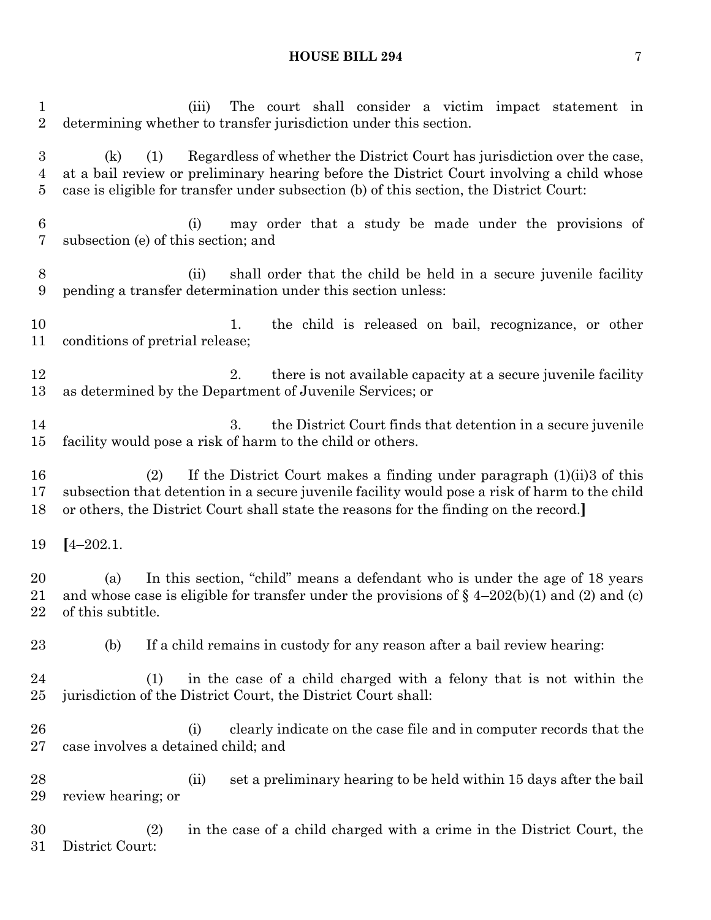(iii) The court shall consider a victim impact statement in determining whether to transfer jurisdiction under this section. (k) (1) Regardless of whether the District Court has jurisdiction over the case, at a bail review or preliminary hearing before the District Court involving a child whose case is eligible for transfer under subsection (b) of this section, the District Court: (i) may order that a study be made under the provisions of subsection (e) of this section; and (ii) shall order that the child be held in a secure juvenile facility pending a transfer determination under this section unless: 10 1. the child is released on bail, recognizance, or other conditions of pretrial release; 12 2. there is not available capacity at a secure juvenile facility as determined by the Department of Juvenile Services; or 3. the District Court finds that detention in a secure juvenile facility would pose a risk of harm to the child or others. (2) If the District Court makes a finding under paragraph (1)(ii)3 of this subsection that detention in a secure juvenile facility would pose a risk of harm to the child or others, the District Court shall state the reasons for the finding on the record.**] [**4–202.1. (a) In this section, "child" means a defendant who is under the age of 18 years 21 and whose case is eligible for transfer under the provisions of  $\S$  4–202(b)(1) and (2) and (c) of this subtitle. (b) If a child remains in custody for any reason after a bail review hearing: (1) in the case of a child charged with a felony that is not within the jurisdiction of the District Court, the District Court shall: (i) clearly indicate on the case file and in computer records that the case involves a detained child; and (ii) set a preliminary hearing to be held within 15 days after the bail review hearing; or (2) in the case of a child charged with a crime in the District Court, the District Court: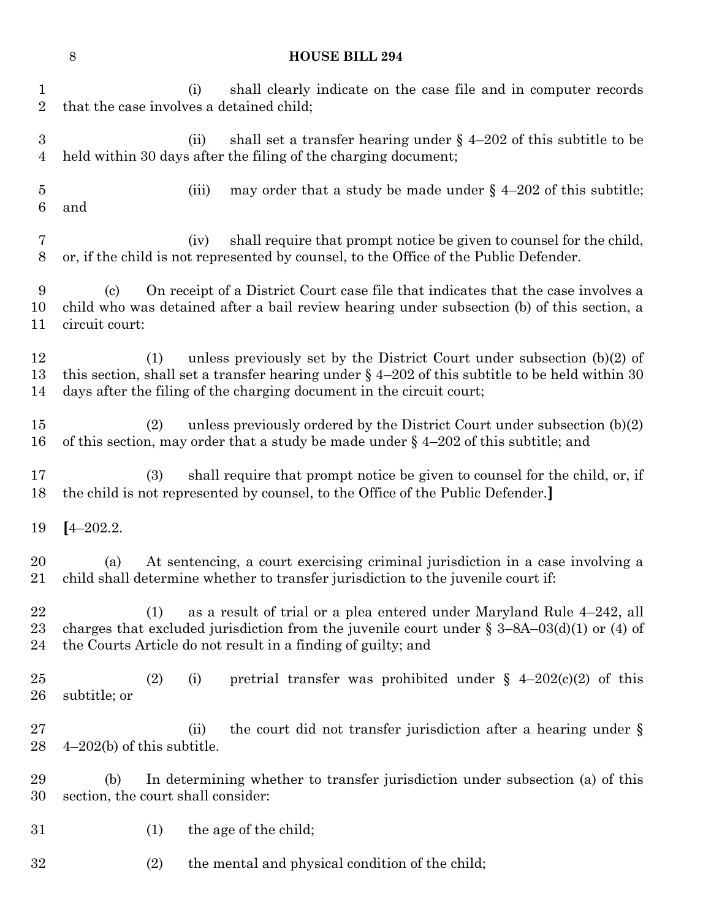| $\mathbf 1$<br>$\overline{2}$ | that the case involves a detained child;                                                                                                                                                                                       | (i)   | shall clearly indicate on the case file and in computer records                                                                                                                                                                                       |  |  |
|-------------------------------|--------------------------------------------------------------------------------------------------------------------------------------------------------------------------------------------------------------------------------|-------|-------------------------------------------------------------------------------------------------------------------------------------------------------------------------------------------------------------------------------------------------------|--|--|
| $\boldsymbol{3}$<br>4         |                                                                                                                                                                                                                                | (ii)  | shall set a transfer hearing under $\S$ 4-202 of this subtitle to be<br>held within 30 days after the filing of the charging document;                                                                                                                |  |  |
| 5<br>6                        | and                                                                                                                                                                                                                            | (iii) | may order that a study be made under $\S$ 4-202 of this subtitle;                                                                                                                                                                                     |  |  |
| 7<br>8                        |                                                                                                                                                                                                                                | (iv)  | shall require that prompt notice be given to counsel for the child,<br>or, if the child is not represented by counsel, to the Office of the Public Defender.                                                                                          |  |  |
| 9<br>10<br>11                 | On receipt of a District Court case file that indicates that the case involves a<br>$\left( \mathrm{c}\right)$<br>child who was detained after a bail review hearing under subsection (b) of this section, a<br>circuit court: |       |                                                                                                                                                                                                                                                       |  |  |
| 12<br>13<br>14                | (1)                                                                                                                                                                                                                            |       | unless previously set by the District Court under subsection $(b)(2)$ of<br>this section, shall set a transfer hearing under $\S$ 4-202 of this subtitle to be held within 30<br>days after the filing of the charging document in the circuit court; |  |  |
| 15<br>16                      | (2)                                                                                                                                                                                                                            |       | unless previously ordered by the District Court under subsection $(b)(2)$<br>of this section, may order that a study be made under $\S$ 4-202 of this subtitle; and                                                                                   |  |  |
| 17<br>18                      | (3)                                                                                                                                                                                                                            |       | shall require that prompt notice be given to counsel for the child, or, if<br>the child is not represented by counsel, to the Office of the Public Defender.                                                                                          |  |  |
| 19                            | $[4 - 202.2]$                                                                                                                                                                                                                  |       |                                                                                                                                                                                                                                                       |  |  |
| 20<br>21                      | (a)                                                                                                                                                                                                                            |       | At sentencing, a court exercising criminal jurisdiction in a case involving a<br>child shall determine whether to transfer jurisdiction to the juvenile court if:                                                                                     |  |  |
| 22<br>$\rm 23$<br>24          | (1)                                                                                                                                                                                                                            |       | as a result of trial or a plea entered under Maryland Rule 4-242, all<br>charges that excluded jurisdiction from the juvenile court under $\S 3-8A-03(d)(1)$ or (4) of<br>the Courts Article do not result in a finding of guilty; and                |  |  |
| $25\,$<br>26                  | (2)<br>subtitle; or                                                                                                                                                                                                            | (i)   | pretrial transfer was prohibited under $\S$ 4-202(c)(2) of this                                                                                                                                                                                       |  |  |
| 27<br>28                      | $4-202(b)$ of this subtitle.                                                                                                                                                                                                   | (ii)  | the court did not transfer jurisdiction after a hearing under $\S$                                                                                                                                                                                    |  |  |
| 29<br>30                      | (b)<br>section, the court shall consider:                                                                                                                                                                                      |       | In determining whether to transfer jurisdiction under subsection (a) of this                                                                                                                                                                          |  |  |
| $31\,$                        | (1)                                                                                                                                                                                                                            |       | the age of the child;                                                                                                                                                                                                                                 |  |  |
| $32\,$                        | (2)                                                                                                                                                                                                                            |       | the mental and physical condition of the child;                                                                                                                                                                                                       |  |  |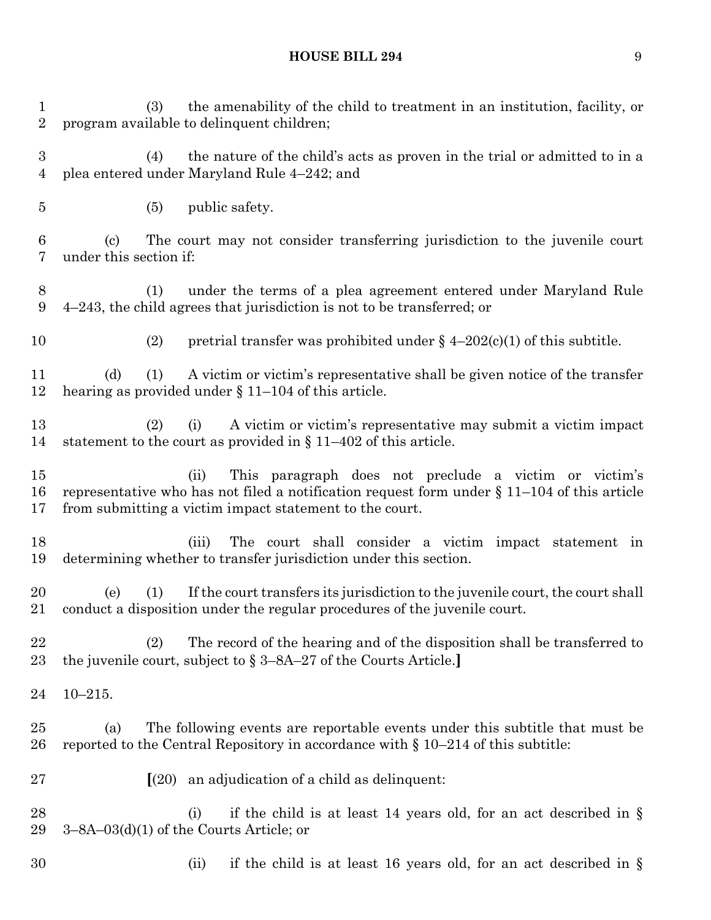(3) the amenability of the child to treatment in an institution, facility, or program available to delinquent children; (4) the nature of the child's acts as proven in the trial or admitted to in a plea entered under Maryland Rule 4–242; and (5) public safety. (c) The court may not consider transferring jurisdiction to the juvenile court under this section if: (1) under the terms of a plea agreement entered under Maryland Rule 4–243, the child agrees that jurisdiction is not to be transferred; or 10 (2) pretrial transfer was prohibited under  $\frac{1}{2}$  4–202(c)(1) of this subtitle. (d) (1) A victim or victim's representative shall be given notice of the transfer hearing as provided under § 11–104 of this article. (2) (i) A victim or victim's representative may submit a victim impact statement to the court as provided in § 11–402 of this article. (ii) This paragraph does not preclude a victim or victim's representative who has not filed a notification request form under § 11–104 of this article from submitting a victim impact statement to the court. (iii) The court shall consider a victim impact statement in determining whether to transfer jurisdiction under this section. (e) (1) If the court transfers its jurisdiction to the juvenile court, the court shall conduct a disposition under the regular procedures of the juvenile court. (2) The record of the hearing and of the disposition shall be transferred to the juvenile court, subject to § 3–8A–27 of the Courts Article.**]** 10–215. (a) The following events are reportable events under this subtitle that must be 26 reported to the Central Repository in accordance with  $\S 10-214$  of this subtitle: **[**(20) an adjudication of a child as delinquent: 28 (i) if the child is at least 14 years old, for an act described in  $\S$  3–8A–03(d)(1) of the Courts Article; or (ii) if the child is at least 16 years old, for an act described in §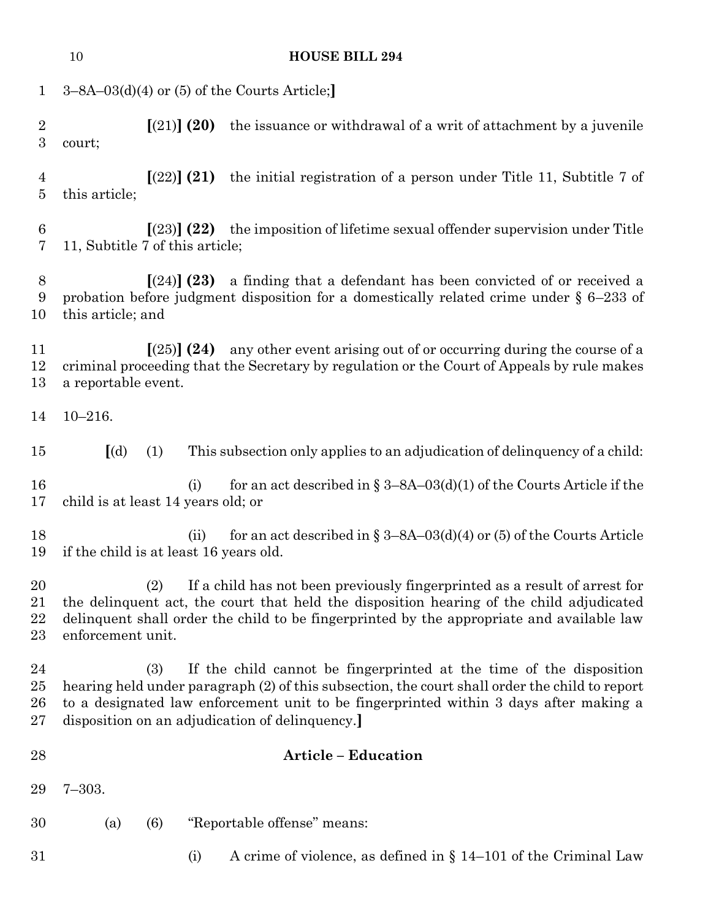|                                  | 10                                                                                                                                                                                                                                                                                                                       | <b>HOUSE BILL 294</b>                                                                                                  |  |  |  |
|----------------------------------|--------------------------------------------------------------------------------------------------------------------------------------------------------------------------------------------------------------------------------------------------------------------------------------------------------------------------|------------------------------------------------------------------------------------------------------------------------|--|--|--|
| $\mathbf{1}$                     |                                                                                                                                                                                                                                                                                                                          | $3-8A-03(d)(4)$ or (5) of the Courts Article;                                                                          |  |  |  |
| $\sqrt{2}$<br>$\boldsymbol{3}$   | court;                                                                                                                                                                                                                                                                                                                   | the issuance or withdrawal of a writ of attachment by a juvenile<br>[(21)] (20)                                        |  |  |  |
| $\overline{4}$<br>$\overline{5}$ | this article;                                                                                                                                                                                                                                                                                                            | [(22)] (21)<br>the initial registration of a person under Title 11, Subtitle 7 of                                      |  |  |  |
| 6<br>7                           |                                                                                                                                                                                                                                                                                                                          | $(23)$ (22) the imposition of lifetime sexual offender supervision under Title<br>11, Subtitle 7 of this article;      |  |  |  |
| 8<br>9<br>10                     | a finding that a defendant has been convicted of or received a<br>[(24)] (23)<br>probation before judgment disposition for a domestically related crime under $\S$ 6-233 of<br>this article; and                                                                                                                         |                                                                                                                        |  |  |  |
| 11<br>12<br>13                   | any other event arising out of or occurring during the course of a<br>[(25)] (24)<br>criminal proceeding that the Secretary by regulation or the Court of Appeals by rule makes<br>a reportable event.                                                                                                                   |                                                                                                                        |  |  |  |
| 14                               | $10 - 216.$                                                                                                                                                                                                                                                                                                              |                                                                                                                        |  |  |  |
| 15                               | $\left[$ (d)                                                                                                                                                                                                                                                                                                             | (1)<br>This subsection only applies to an adjudication of delinquency of a child:                                      |  |  |  |
| 16<br>17                         |                                                                                                                                                                                                                                                                                                                          | for an act described in § 3–8A–03(d)(1) of the Courts Article if the<br>(i)<br>child is at least 14 years old; or      |  |  |  |
| 18<br>19                         |                                                                                                                                                                                                                                                                                                                          | for an act described in § 3–8A–03(d)(4) or (5) of the Courts Article<br>(ii)<br>if the child is at least 16 years old. |  |  |  |
| 20<br>21<br>22<br>23             | If a child has not been previously fingerprinted as a result of arrest for<br>(2)<br>the delinquent act, the court that held the disposition hearing of the child adjudicated<br>delinguent shall order the child to be fingerprinted by the appropriate and available law<br>enforcement unit.                          |                                                                                                                        |  |  |  |
| 24<br>25<br>26<br>27             | (3)<br>If the child cannot be fingerprinted at the time of the disposition<br>hearing held under paragraph (2) of this subsection, the court shall order the child to report<br>to a designated law enforcement unit to be fingerprinted within 3 days after making a<br>disposition on an adjudication of delinquency.] |                                                                                                                        |  |  |  |
| 28                               |                                                                                                                                                                                                                                                                                                                          | <b>Article - Education</b>                                                                                             |  |  |  |
| 29                               | $7 - 303.$                                                                                                                                                                                                                                                                                                               |                                                                                                                        |  |  |  |
| 30                               | (a)                                                                                                                                                                                                                                                                                                                      | "Reportable offense" means:<br>(6)                                                                                     |  |  |  |
| 31                               |                                                                                                                                                                                                                                                                                                                          | A crime of violence, as defined in $\S 14-101$ of the Criminal Law<br>(i)                                              |  |  |  |